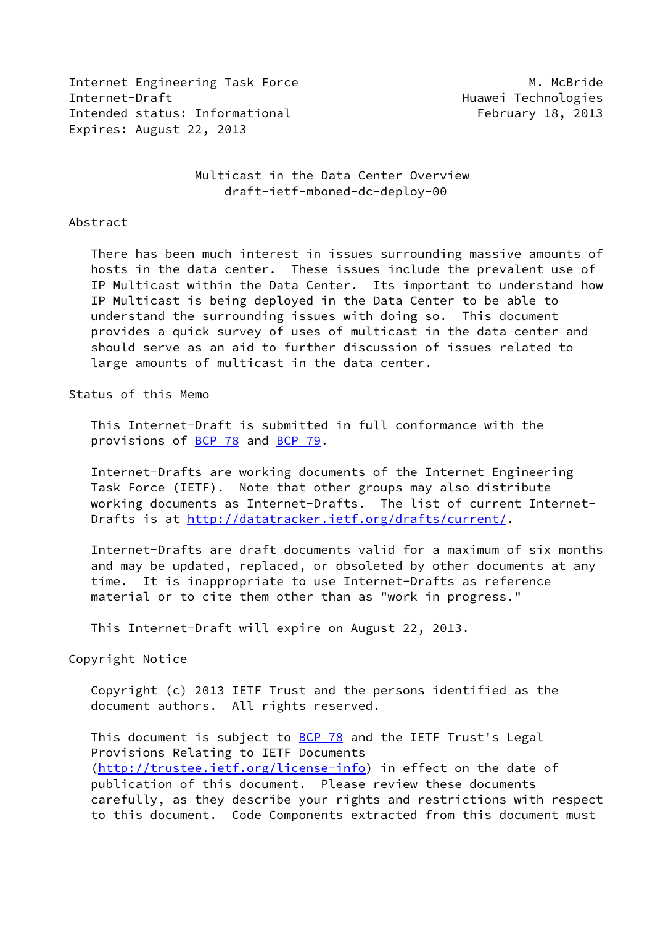Internet Engineering Task Force M. McBride Internet-Draft Huawei Technologies Intended status: Informational February 18, 2013 Expires: August 22, 2013

 Multicast in the Data Center Overview draft-ietf-mboned-dc-deploy-00

#### Abstract

 There has been much interest in issues surrounding massive amounts of hosts in the data center. These issues include the prevalent use of IP Multicast within the Data Center. Its important to understand how IP Multicast is being deployed in the Data Center to be able to understand the surrounding issues with doing so. This document provides a quick survey of uses of multicast in the data center and should serve as an aid to further discussion of issues related to large amounts of multicast in the data center.

### Status of this Memo

 This Internet-Draft is submitted in full conformance with the provisions of **BCP 78** and **BCP 79**.

 Internet-Drafts are working documents of the Internet Engineering Task Force (IETF). Note that other groups may also distribute working documents as Internet-Drafts. The list of current Internet Drafts is at<http://datatracker.ietf.org/drafts/current/>.

 Internet-Drafts are draft documents valid for a maximum of six months and may be updated, replaced, or obsoleted by other documents at any time. It is inappropriate to use Internet-Drafts as reference material or to cite them other than as "work in progress."

This Internet-Draft will expire on August 22, 2013.

### Copyright Notice

 Copyright (c) 2013 IETF Trust and the persons identified as the document authors. All rights reserved.

This document is subject to **[BCP 78](https://datatracker.ietf.org/doc/pdf/bcp78)** and the IETF Trust's Legal Provisions Relating to IETF Documents [\(http://trustee.ietf.org/license-info](http://trustee.ietf.org/license-info)) in effect on the date of publication of this document. Please review these documents carefully, as they describe your rights and restrictions with respect to this document. Code Components extracted from this document must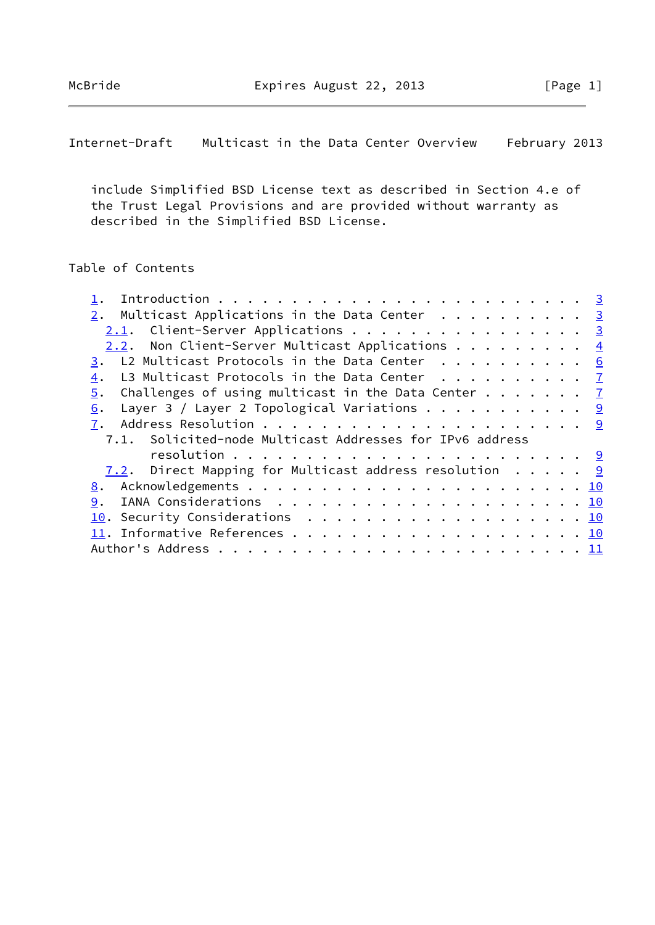McBride **Expires August 22, 2013** [Page 1]

Internet-Draft Multicast in the Data Center Overview February 2013

 include Simplified BSD License text as described in Section 4.e of the Trust Legal Provisions and are provided without warranty as described in the Simplified BSD License.

# Table of Contents

| 2. Multicast Applications in the Data Center 3                                |  |  |
|-------------------------------------------------------------------------------|--|--|
| $2.1.$ Client-Server Applications 3                                           |  |  |
| 2.2. Non Client-Server Multicast Applications $\frac{4}{3}$                   |  |  |
| 3. L2 Multicast Protocols in the Data Center 6                                |  |  |
| L3 Multicast Protocols in the Data Center $\ldots \ldots \ldots$              |  |  |
| Challenges of using multicast in the Data Center $\cdots$ $\frac{7}{2}$<br>5. |  |  |
| Layer 3 / Layer 2 Topological Variations 9<br>6.                              |  |  |
| 7.                                                                            |  |  |
| 7.1. Solicited-node Multicast Addresses for IPv6 address                      |  |  |
|                                                                               |  |  |
| 7.2. Direct Mapping for Multicast address resolution $\cdots$                 |  |  |
|                                                                               |  |  |
| 9.                                                                            |  |  |
| 10. Security Considerations 10                                                |  |  |
|                                                                               |  |  |
|                                                                               |  |  |
|                                                                               |  |  |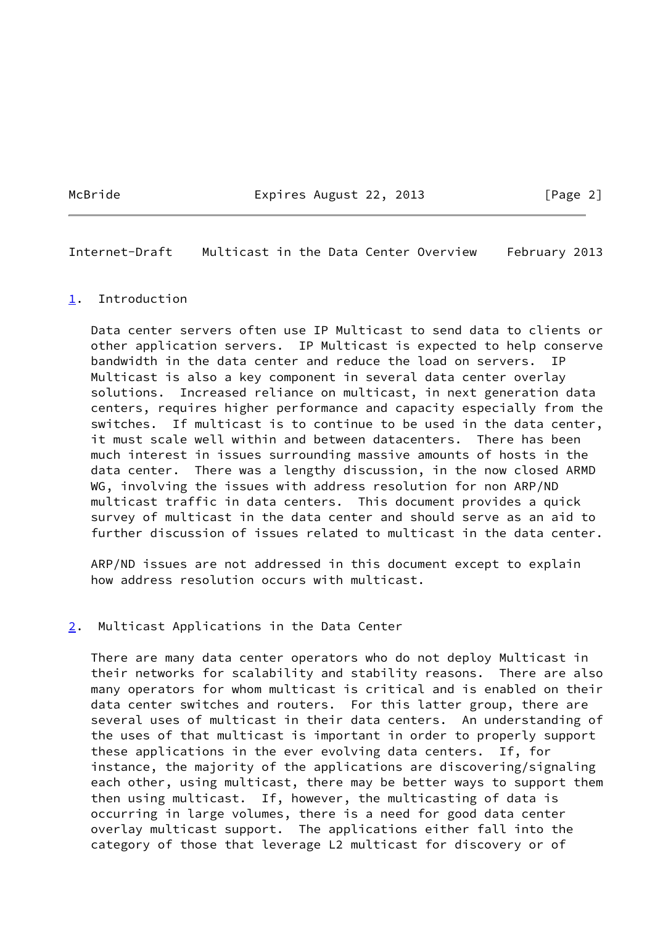McBride **Expires August 22, 2013** [Page 2]

<span id="page-2-1"></span>Internet-Draft Multicast in the Data Center Overview February 2013

### <span id="page-2-0"></span>[1](#page-2-0). Introduction

 Data center servers often use IP Multicast to send data to clients or other application servers. IP Multicast is expected to help conserve bandwidth in the data center and reduce the load on servers. IP Multicast is also a key component in several data center overlay solutions. Increased reliance on multicast, in next generation data centers, requires higher performance and capacity especially from the switches. If multicast is to continue to be used in the data center, it must scale well within and between datacenters. There has been much interest in issues surrounding massive amounts of hosts in the data center. There was a lengthy discussion, in the now closed ARMD WG, involving the issues with address resolution for non ARP/ND multicast traffic in data centers. This document provides a quick survey of multicast in the data center and should serve as an aid to further discussion of issues related to multicast in the data center.

 ARP/ND issues are not addressed in this document except to explain how address resolution occurs with multicast.

### <span id="page-2-2"></span>[2](#page-2-2). Multicast Applications in the Data Center

 There are many data center operators who do not deploy Multicast in their networks for scalability and stability reasons. There are also many operators for whom multicast is critical and is enabled on their data center switches and routers. For this latter group, there are several uses of multicast in their data centers. An understanding of the uses of that multicast is important in order to properly support these applications in the ever evolving data centers. If, for instance, the majority of the applications are discovering/signaling each other, using multicast, there may be better ways to support them then using multicast. If, however, the multicasting of data is occurring in large volumes, there is a need for good data center overlay multicast support. The applications either fall into the category of those that leverage L2 multicast for discovery or of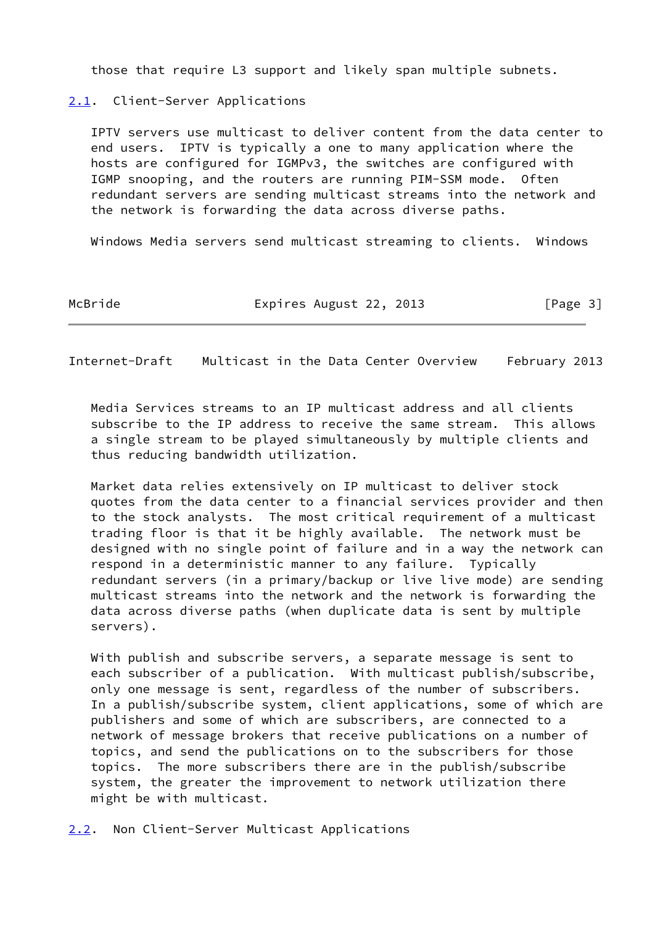those that require L3 support and likely span multiple subnets.

# <span id="page-3-0"></span>[2.1](#page-3-0). Client-Server Applications

 IPTV servers use multicast to deliver content from the data center to end users. IPTV is typically a one to many application where the hosts are configured for IGMPv3, the switches are configured with IGMP snooping, and the routers are running PIM-SSM mode. Often redundant servers are sending multicast streams into the network and the network is forwarding the data across diverse paths.

Windows Media servers send multicast streaming to clients. Windows

McBride **Expires August 22, 2013** [Page 3]

<span id="page-3-2"></span>Internet-Draft Multicast in the Data Center Overview February 2013

 Media Services streams to an IP multicast address and all clients subscribe to the IP address to receive the same stream. This allows a single stream to be played simultaneously by multiple clients and thus reducing bandwidth utilization.

 Market data relies extensively on IP multicast to deliver stock quotes from the data center to a financial services provider and then to the stock analysts. The most critical requirement of a multicast trading floor is that it be highly available. The network must be designed with no single point of failure and in a way the network can respond in a deterministic manner to any failure. Typically redundant servers (in a primary/backup or live live mode) are sending multicast streams into the network and the network is forwarding the data across diverse paths (when duplicate data is sent by multiple servers).

 With publish and subscribe servers, a separate message is sent to each subscriber of a publication. With multicast publish/subscribe, only one message is sent, regardless of the number of subscribers. In a publish/subscribe system, client applications, some of which are publishers and some of which are subscribers, are connected to a network of message brokers that receive publications on a number of topics, and send the publications on to the subscribers for those topics. The more subscribers there are in the publish/subscribe system, the greater the improvement to network utilization there might be with multicast.

<span id="page-3-1"></span>[2.2](#page-3-1). Non Client-Server Multicast Applications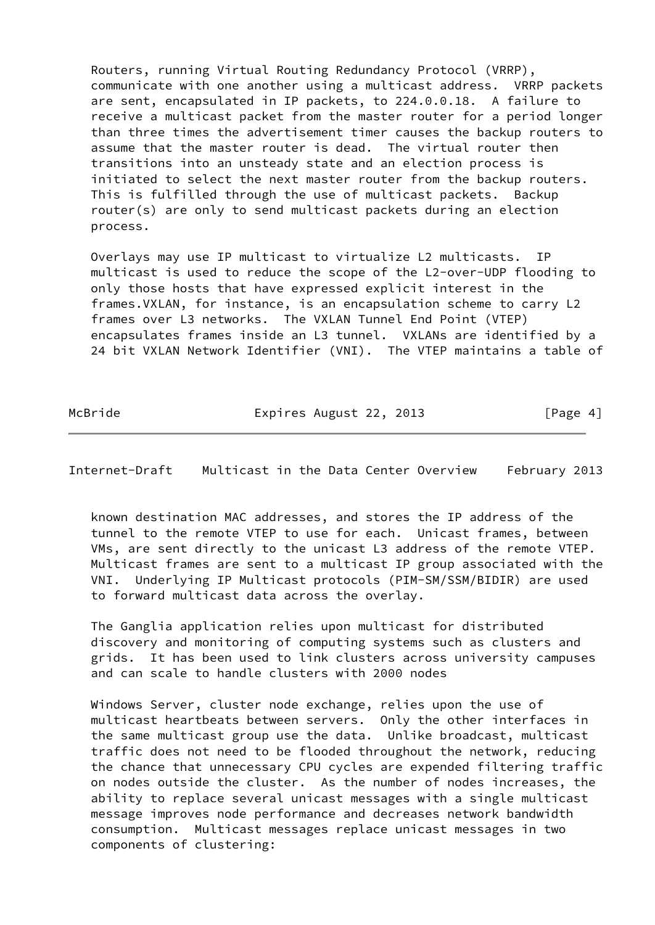Routers, running Virtual Routing Redundancy Protocol (VRRP), communicate with one another using a multicast address. VRRP packets are sent, encapsulated in IP packets, to 224.0.0.18. A failure to receive a multicast packet from the master router for a period longer than three times the advertisement timer causes the backup routers to assume that the master router is dead. The virtual router then transitions into an unsteady state and an election process is initiated to select the next master router from the backup routers. This is fulfilled through the use of multicast packets. Backup router(s) are only to send multicast packets during an election process.

 Overlays may use IP multicast to virtualize L2 multicasts. IP multicast is used to reduce the scope of the L2-over-UDP flooding to only those hosts that have expressed explicit interest in the frames.VXLAN, for instance, is an encapsulation scheme to carry L2 frames over L3 networks. The VXLAN Tunnel End Point (VTEP) encapsulates frames inside an L3 tunnel. VXLANs are identified by a 24 bit VXLAN Network Identifier (VNI). The VTEP maintains a table of

McBride **Expires August 22, 2013** [Page 4]

Internet-Draft Multicast in the Data Center Overview February 2013

 known destination MAC addresses, and stores the IP address of the tunnel to the remote VTEP to use for each. Unicast frames, between VMs, are sent directly to the unicast L3 address of the remote VTEP. Multicast frames are sent to a multicast IP group associated with the VNI. Underlying IP Multicast protocols (PIM-SM/SSM/BIDIR) are used to forward multicast data across the overlay.

 The Ganglia application relies upon multicast for distributed discovery and monitoring of computing systems such as clusters and grids. It has been used to link clusters across university campuses and can scale to handle clusters with 2000 nodes

 Windows Server, cluster node exchange, relies upon the use of multicast heartbeats between servers. Only the other interfaces in the same multicast group use the data. Unlike broadcast, multicast traffic does not need to be flooded throughout the network, reducing the chance that unnecessary CPU cycles are expended filtering traffic on nodes outside the cluster. As the number of nodes increases, the ability to replace several unicast messages with a single multicast message improves node performance and decreases network bandwidth consumption. Multicast messages replace unicast messages in two components of clustering: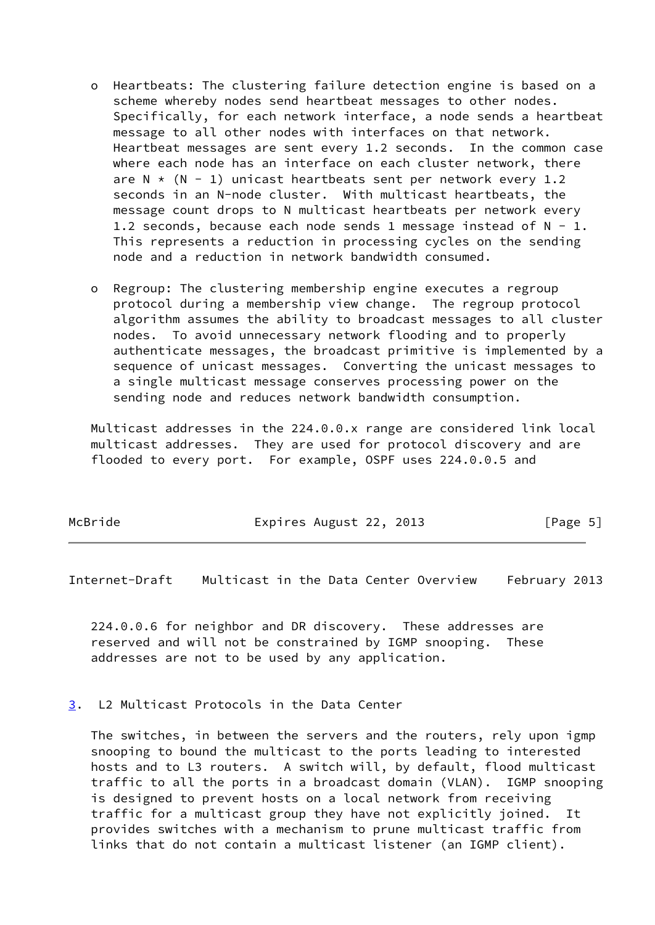- o Heartbeats: The clustering failure detection engine is based on a scheme whereby nodes send heartbeat messages to other nodes. Specifically, for each network interface, a node sends a heartbeat message to all other nodes with interfaces on that network. Heartbeat messages are sent every 1.2 seconds. In the common case where each node has an interface on each cluster network, there are  $N * (N - 1)$  unicast heartbeats sent per network every 1.2 seconds in an N-node cluster. With multicast heartbeats, the message count drops to N multicast heartbeats per network every 1.2 seconds, because each node sends 1 message instead of  $N - 1$ . This represents a reduction in processing cycles on the sending node and a reduction in network bandwidth consumed.
- o Regroup: The clustering membership engine executes a regroup protocol during a membership view change. The regroup protocol algorithm assumes the ability to broadcast messages to all cluster nodes. To avoid unnecessary network flooding and to properly authenticate messages, the broadcast primitive is implemented by a sequence of unicast messages. Converting the unicast messages to a single multicast message conserves processing power on the sending node and reduces network bandwidth consumption.

 Multicast addresses in the 224.0.0.x range are considered link local multicast addresses. They are used for protocol discovery and are flooded to every port. For example, OSPF uses 224.0.0.5 and

| McBride | Expires August 22, 2013 | [Page 5] |
|---------|-------------------------|----------|
|         |                         |          |

<span id="page-5-1"></span>Internet-Draft Multicast in the Data Center Overview February 2013

 224.0.0.6 for neighbor and DR discovery. These addresses are reserved and will not be constrained by IGMP snooping. These addresses are not to be used by any application.

### <span id="page-5-0"></span>[3](#page-5-0). L2 Multicast Protocols in the Data Center

 The switches, in between the servers and the routers, rely upon igmp snooping to bound the multicast to the ports leading to interested hosts and to L3 routers. A switch will, by default, flood multicast traffic to all the ports in a broadcast domain (VLAN). IGMP snooping is designed to prevent hosts on a local network from receiving traffic for a multicast group they have not explicitly joined. It provides switches with a mechanism to prune multicast traffic from links that do not contain a multicast listener (an IGMP client).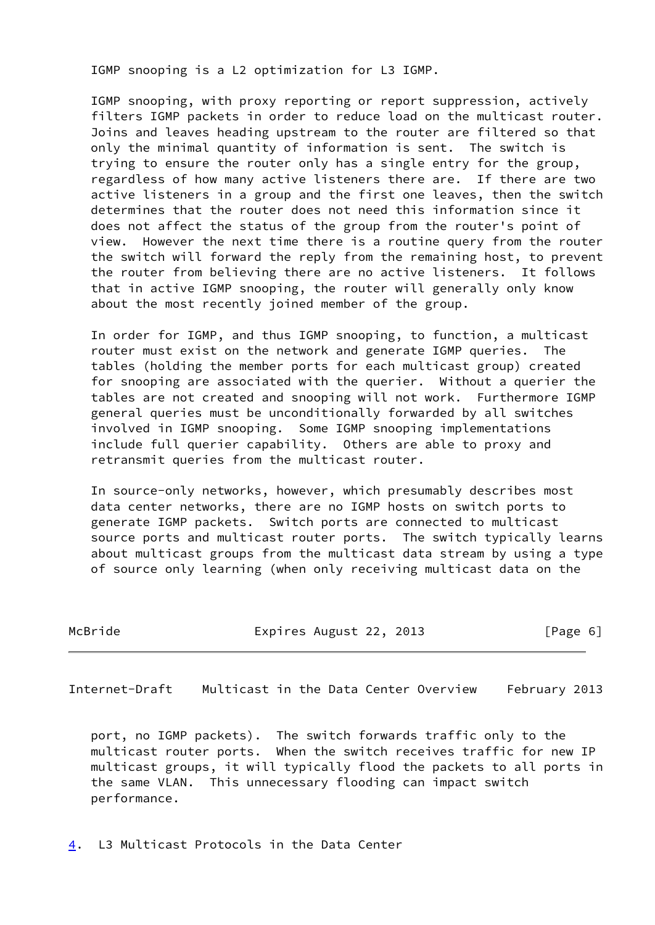IGMP snooping is a L2 optimization for L3 IGMP.

 IGMP snooping, with proxy reporting or report suppression, actively filters IGMP packets in order to reduce load on the multicast router. Joins and leaves heading upstream to the router are filtered so that only the minimal quantity of information is sent. The switch is trying to ensure the router only has a single entry for the group, regardless of how many active listeners there are. If there are two active listeners in a group and the first one leaves, then the switch determines that the router does not need this information since it does not affect the status of the group from the router's point of view. However the next time there is a routine query from the router the switch will forward the reply from the remaining host, to prevent the router from believing there are no active listeners. It follows that in active IGMP snooping, the router will generally only know about the most recently joined member of the group.

 In order for IGMP, and thus IGMP snooping, to function, a multicast router must exist on the network and generate IGMP queries. The tables (holding the member ports for each multicast group) created for snooping are associated with the querier. Without a querier the tables are not created and snooping will not work. Furthermore IGMP general queries must be unconditionally forwarded by all switches involved in IGMP snooping. Some IGMP snooping implementations include full querier capability. Others are able to proxy and retransmit queries from the multicast router.

 In source-only networks, however, which presumably describes most data center networks, there are no IGMP hosts on switch ports to generate IGMP packets. Switch ports are connected to multicast source ports and multicast router ports. The switch typically learns about multicast groups from the multicast data stream by using a type of source only learning (when only receiving multicast data on the

| McBride | Expires August 22, 2013 | [Page 6] |  |
|---------|-------------------------|----------|--|
|         |                         |          |  |

<span id="page-6-1"></span>Internet-Draft Multicast in the Data Center Overview February 2013

 port, no IGMP packets). The switch forwards traffic only to the multicast router ports. When the switch receives traffic for new IP multicast groups, it will typically flood the packets to all ports in the same VLAN. This unnecessary flooding can impact switch performance.

<span id="page-6-0"></span>[4](#page-6-0). L3 Multicast Protocols in the Data Center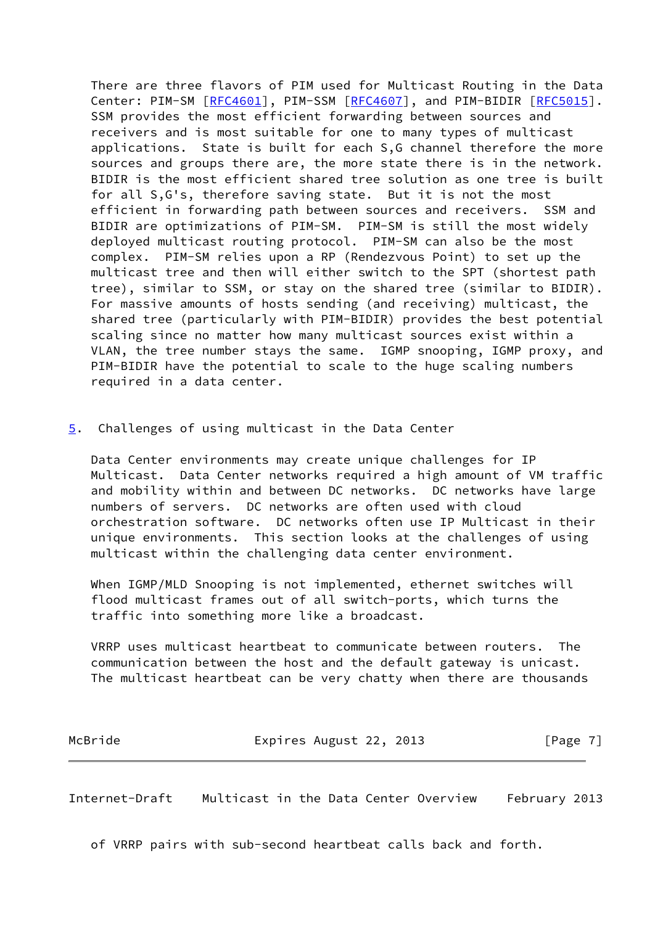There are three flavors of PIM used for Multicast Routing in the Data Center: PIM-SM [\[RFC4601](https://datatracker.ietf.org/doc/pdf/rfc4601)], PIM-SSM [[RFC4607](https://datatracker.ietf.org/doc/pdf/rfc4607)], and PIM-BIDIR [[RFC5015\]](https://datatracker.ietf.org/doc/pdf/rfc5015). SSM provides the most efficient forwarding between sources and receivers and is most suitable for one to many types of multicast applications. State is built for each S,G channel therefore the more sources and groups there are, the more state there is in the network. BIDIR is the most efficient shared tree solution as one tree is built for all S,G's, therefore saving state. But it is not the most efficient in forwarding path between sources and receivers. SSM and BIDIR are optimizations of PIM-SM. PIM-SM is still the most widely deployed multicast routing protocol. PIM-SM can also be the most complex. PIM-SM relies upon a RP (Rendezvous Point) to set up the multicast tree and then will either switch to the SPT (shortest path tree), similar to SSM, or stay on the shared tree (similar to BIDIR). For massive amounts of hosts sending (and receiving) multicast, the shared tree (particularly with PIM-BIDIR) provides the best potential scaling since no matter how many multicast sources exist within a VLAN, the tree number stays the same. IGMP snooping, IGMP proxy, and PIM-BIDIR have the potential to scale to the huge scaling numbers required in a data center.

### <span id="page-7-0"></span>[5](#page-7-0). Challenges of using multicast in the Data Center

 Data Center environments may create unique challenges for IP Multicast. Data Center networks required a high amount of VM traffic and mobility within and between DC networks. DC networks have large numbers of servers. DC networks are often used with cloud orchestration software. DC networks often use IP Multicast in their unique environments. This section looks at the challenges of using multicast within the challenging data center environment.

 When IGMP/MLD Snooping is not implemented, ethernet switches will flood multicast frames out of all switch-ports, which turns the traffic into something more like a broadcast.

 VRRP uses multicast heartbeat to communicate between routers. The communication between the host and the default gateway is unicast. The multicast heartbeat can be very chatty when there are thousands

| McBride | Expires August 22, 2013 | [Page 7] |
|---------|-------------------------|----------|
|         |                         |          |

Internet-Draft Multicast in the Data Center Overview February 2013

of VRRP pairs with sub-second heartbeat calls back and forth.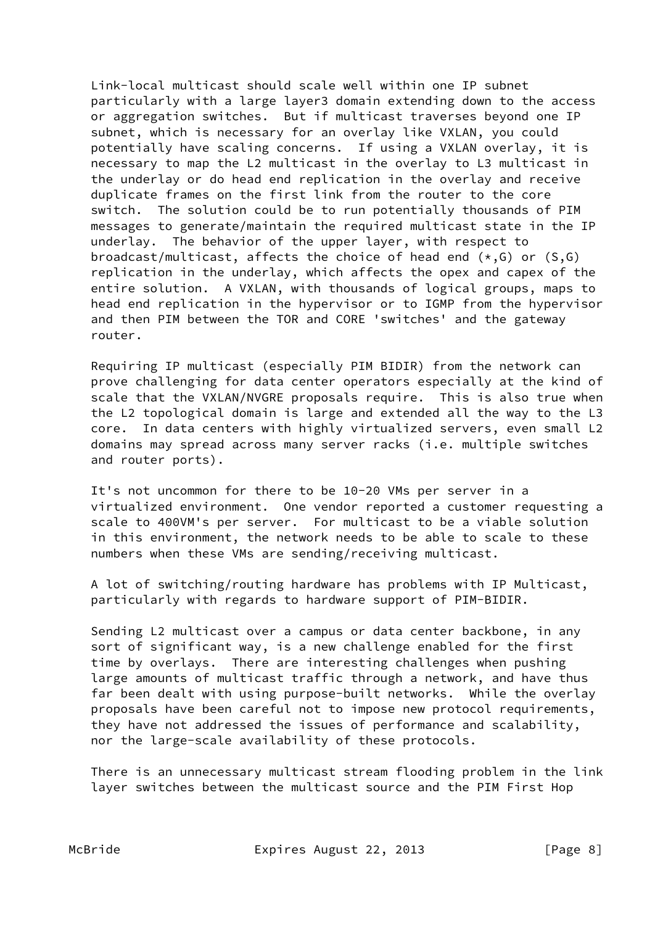Link-local multicast should scale well within one IP subnet particularly with a large layer3 domain extending down to the access or aggregation switches. But if multicast traverses beyond one IP subnet, which is necessary for an overlay like VXLAN, you could potentially have scaling concerns. If using a VXLAN overlay, it is necessary to map the L2 multicast in the overlay to L3 multicast in the underlay or do head end replication in the overlay and receive duplicate frames on the first link from the router to the core switch. The solution could be to run potentially thousands of PIM messages to generate/maintain the required multicast state in the IP underlay. The behavior of the upper layer, with respect to broadcast/multicast, affects the choice of head end  $(*, G)$  or  $(S, G)$  replication in the underlay, which affects the opex and capex of the entire solution. A VXLAN, with thousands of logical groups, maps to head end replication in the hypervisor or to IGMP from the hypervisor and then PIM between the TOR and CORE 'switches' and the gateway router.

 Requiring IP multicast (especially PIM BIDIR) from the network can prove challenging for data center operators especially at the kind of scale that the VXLAN/NVGRE proposals require. This is also true when the L2 topological domain is large and extended all the way to the L3 core. In data centers with highly virtualized servers, even small L2 domains may spread across many server racks (i.e. multiple switches and router ports).

 It's not uncommon for there to be 10-20 VMs per server in a virtualized environment. One vendor reported a customer requesting a scale to 400VM's per server. For multicast to be a viable solution in this environment, the network needs to be able to scale to these numbers when these VMs are sending/receiving multicast.

 A lot of switching/routing hardware has problems with IP Multicast, particularly with regards to hardware support of PIM-BIDIR.

 Sending L2 multicast over a campus or data center backbone, in any sort of significant way, is a new challenge enabled for the first time by overlays. There are interesting challenges when pushing large amounts of multicast traffic through a network, and have thus far been dealt with using purpose-built networks. While the overlay proposals have been careful not to impose new protocol requirements, they have not addressed the issues of performance and scalability, nor the large-scale availability of these protocols.

 There is an unnecessary multicast stream flooding problem in the link layer switches between the multicast source and the PIM First Hop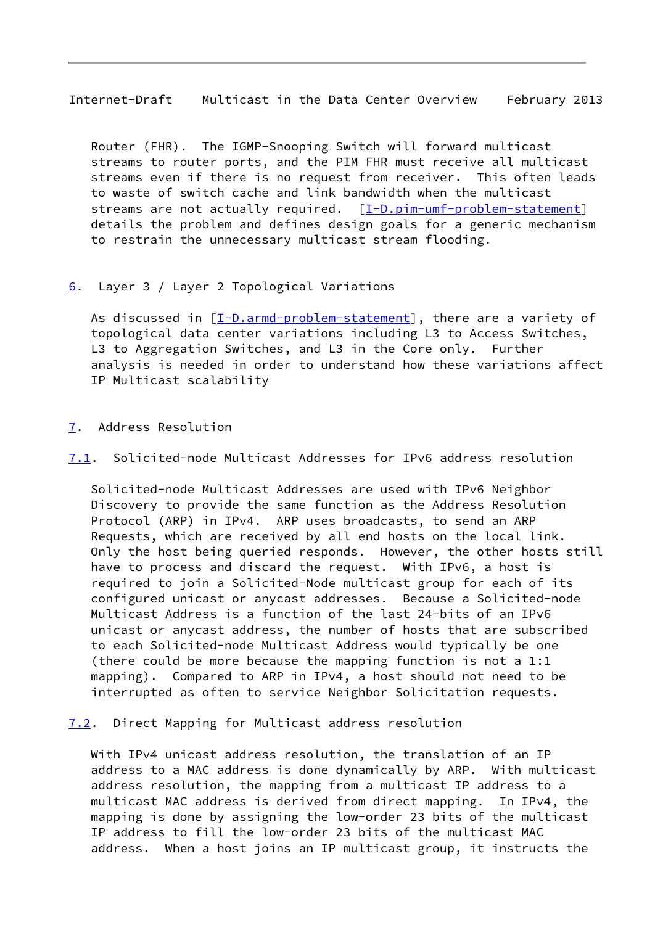<span id="page-9-1"></span>Internet-Draft Multicast in the Data Center Overview February 2013

 Router (FHR). The IGMP-Snooping Switch will forward multicast streams to router ports, and the PIM FHR must receive all multicast streams even if there is no request from receiver. This often leads to waste of switch cache and link bandwidth when the multicast streams are not actually required. [\[I-D.pim-umf-problem-statement](#page-11-1)] details the problem and defines design goals for a generic mechanism to restrain the unnecessary multicast stream flooding.

## <span id="page-9-0"></span>[6](#page-9-0). Layer 3 / Layer 2 Topological Variations

As discussed in  $[I-D.armd-problem-statement]$ , there are a variety of topological data center variations including L3 to Access Switches, L3 to Aggregation Switches, and L3 in the Core only. Further analysis is needed in order to understand how these variations affect IP Multicast scalability

# <span id="page-9-2"></span>[7](#page-9-2). Address Resolution

<span id="page-9-4"></span>[7.1](#page-9-4). Solicited-node Multicast Addresses for IPv6 address resolution

 Solicited-node Multicast Addresses are used with IPv6 Neighbor Discovery to provide the same function as the Address Resolution Protocol (ARP) in IPv4. ARP uses broadcasts, to send an ARP Requests, which are received by all end hosts on the local link. Only the host being queried responds. However, the other hosts still have to process and discard the request. With IPv6, a host is required to join a Solicited-Node multicast group for each of its configured unicast or anycast addresses. Because a Solicited-node Multicast Address is a function of the last 24-bits of an IPv6 unicast or anycast address, the number of hosts that are subscribed to each Solicited-node Multicast Address would typically be one (there could be more because the mapping function is not a 1:1 mapping). Compared to ARP in IPv4, a host should not need to be interrupted as often to service Neighbor Solicitation requests.

<span id="page-9-3"></span>[7.2](#page-9-3). Direct Mapping for Multicast address resolution

 With IPv4 unicast address resolution, the translation of an IP address to a MAC address is done dynamically by ARP. With multicast address resolution, the mapping from a multicast IP address to a multicast MAC address is derived from direct mapping. In IPv4, the mapping is done by assigning the low-order 23 bits of the multicast IP address to fill the low-order 23 bits of the multicast MAC address. When a host joins an IP multicast group, it instructs the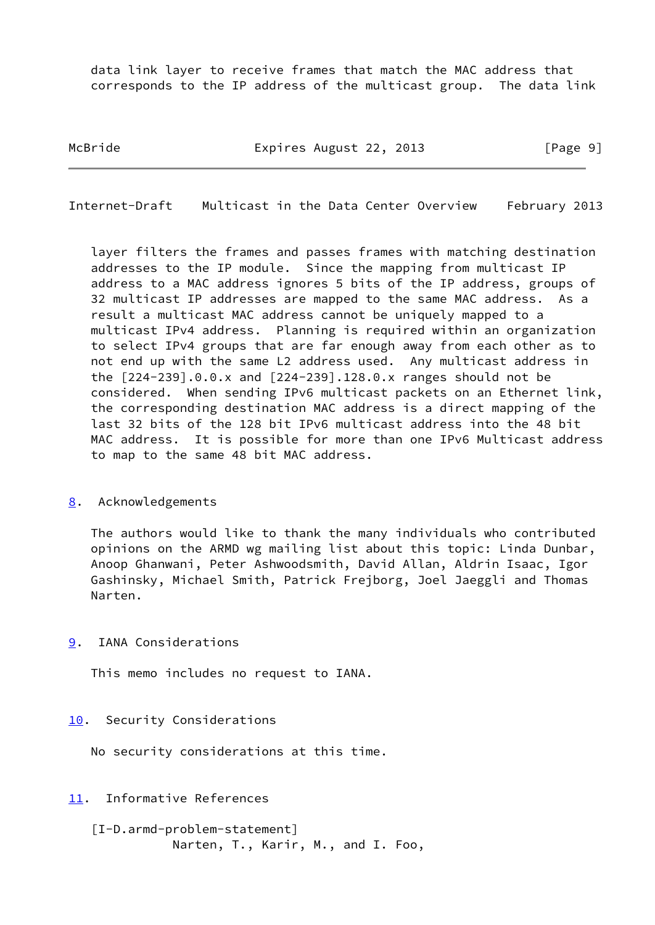data link layer to receive frames that match the MAC address that corresponds to the IP address of the multicast group. The data link

McBride **Expires August 22, 2013** [Page 9]

<span id="page-10-1"></span>Internet-Draft Multicast in the Data Center Overview February 2013

 layer filters the frames and passes frames with matching destination addresses to the IP module. Since the mapping from multicast IP address to a MAC address ignores 5 bits of the IP address, groups of 32 multicast IP addresses are mapped to the same MAC address. As a result a multicast MAC address cannot be uniquely mapped to a multicast IPv4 address. Planning is required within an organization to select IPv4 groups that are far enough away from each other as to not end up with the same L2 address used. Any multicast address in the [224-239].0.0.x and [224-239].128.0.x ranges should not be considered. When sending IPv6 multicast packets on an Ethernet link, the corresponding destination MAC address is a direct mapping of the last 32 bits of the 128 bit IPv6 multicast address into the 48 bit MAC address. It is possible for more than one IPv6 Multicast address to map to the same 48 bit MAC address.

### <span id="page-10-0"></span>[8](#page-10-0). Acknowledgements

 The authors would like to thank the many individuals who contributed opinions on the ARMD wg mailing list about this topic: Linda Dunbar, Anoop Ghanwani, Peter Ashwoodsmith, David Allan, Aldrin Isaac, Igor Gashinsky, Michael Smith, Patrick Frejborg, Joel Jaeggli and Thomas Narten.

<span id="page-10-2"></span>[9](#page-10-2). IANA Considerations

This memo includes no request to IANA.

<span id="page-10-3"></span>[10.](#page-10-3) Security Considerations

No security considerations at this time.

<span id="page-10-4"></span>[11.](#page-10-4) Informative References

<span id="page-10-5"></span> [I-D.armd-problem-statement] Narten, T., Karir, M., and I. Foo,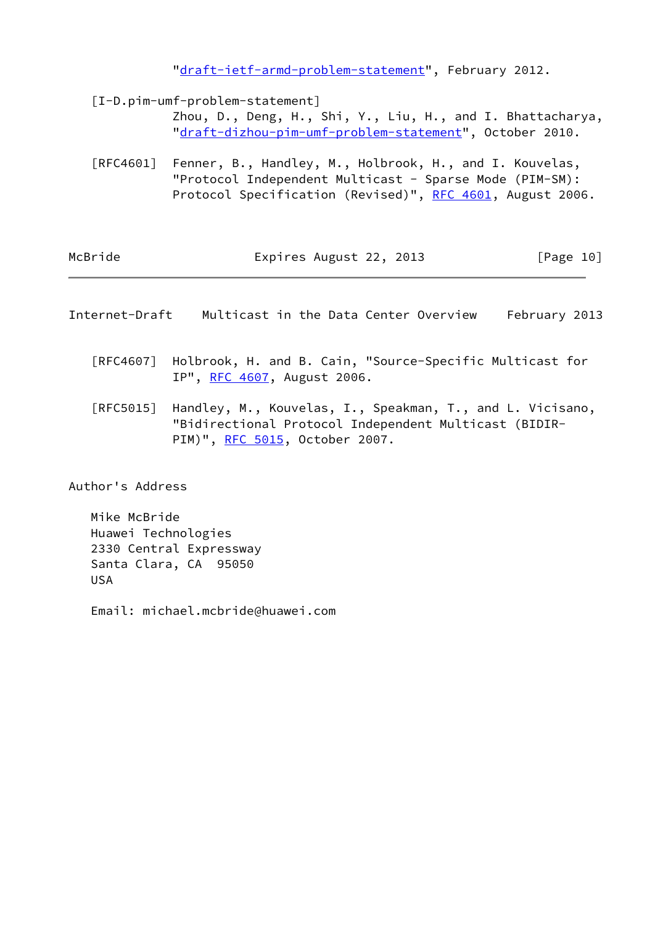"[draft-ietf-armd-problem-statement"](https://datatracker.ietf.org/doc/pdf/draft-ietf-armd-problem-statement), February 2012.

<span id="page-11-1"></span> [I-D.pim-umf-problem-statement] Zhou, D., Deng, H., Shi, Y., Liu, H., and I. Bhattacharya, "[draft-dizhou-pim-umf-problem-statement](https://datatracker.ietf.org/doc/pdf/draft-dizhou-pim-umf-problem-statement)", October 2010.

 [RFC4601] Fenner, B., Handley, M., Holbrook, H., and I. Kouvelas, "Protocol Independent Multicast - Sparse Mode (PIM-SM): Protocol Specification (Revised)", [RFC 4601](https://datatracker.ietf.org/doc/pdf/rfc4601), August 2006.

| McBride | Expires August 22, 2013 | [Page 10] |
|---------|-------------------------|-----------|
|         |                         |           |

<span id="page-11-0"></span>

| Internet-Draft | Multicast in the Data Center Overview |  |  |  |  |  | February 2013 |  |
|----------------|---------------------------------------|--|--|--|--|--|---------------|--|
|----------------|---------------------------------------|--|--|--|--|--|---------------|--|

- [RFC4607] Holbrook, H. and B. Cain, "Source-Specific Multicast for IP", [RFC 4607](https://datatracker.ietf.org/doc/pdf/rfc4607), August 2006.
- [RFC5015] Handley, M., Kouvelas, I., Speakman, T., and L. Vicisano, "Bidirectional Protocol Independent Multicast (BIDIR- PIM)", [RFC 5015](https://datatracker.ietf.org/doc/pdf/rfc5015), October 2007.

Author's Address

 Mike McBride Huawei Technologies 2330 Central Expressway Santa Clara, CA 95050 USA

Email: michael.mcbride@huawei.com